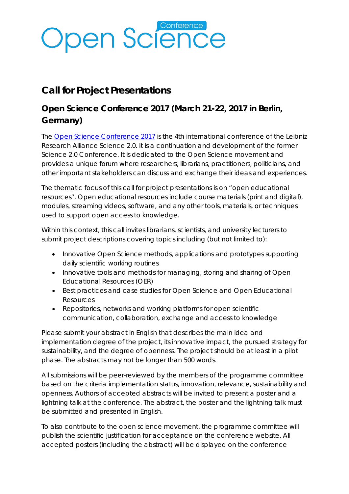# **Open Science**

### **Call for Project Presentations**

### **Open Science Conference 2017 (March 21-22, 2017 in Berlin, Germany)**

The [Open Science Conference 2017](http://www.open-science-conference.eu/) is the 4th international conference of the Leibniz Research Alliance Science 2.0. It is a continuation and development of the former Science 2.0 Conference. It is dedicated to the Open Science movement and provides a unique forum where researchers, librarians, practitioners, politicians, and other important stakeholders can discuss and exchange their ideas and experiences.

The thematic focus of this call for project presentations is on "open educational resources". Open educational resources include course materials (print and digital), modules, streaming videos, software, and any other tools, materials, or techniques used to support open access to knowledge.

Within this context, this call invites librarians, scientists, and university lecturers to submit project descriptions covering topics including (but not limited to):

- Innovative Open Science methods, applications and prototypes supporting daily scientific working routines
- Innovative tools and methods for managing, storing and sharing of Open Educational Resources (OER)
- Best practices and case studies for Open Science and Open Educational Resources
- Repositories, networks and working platforms for open scientific communication, collaboration, exchange and access to knowledge

Please submit your abstract in English that describes the main idea and implementation degree of the project, its innovative impact, the pursued strategy for sustainability, and the degree of openness. The project should be at least in a pilot phase. The abstracts may not be longer than 500 words.

All submissions will be peer-reviewed by the members of the programme committee based on the criteria implementation status, innovation, relevance, sustainability and openness. Authors of accepted abstracts will be invited to present a poster and a lightning talk at the conference. The abstract, the poster and the lightning talk must be submitted and presented in English.

To also contribute to the open science movement, the programme committee will publish the scientific justification for acceptance on the conference website. All accepted posters (including the abstract) will be displayed on the conference